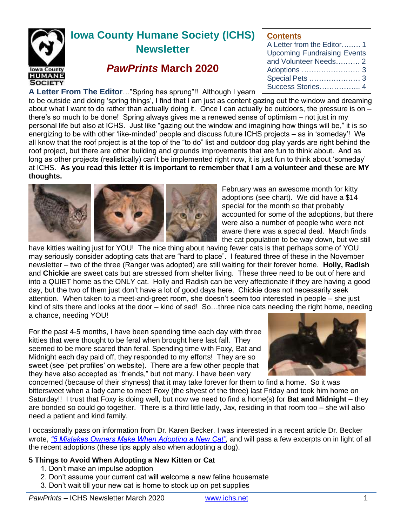

# **Iowa County Humane Society (ICHS) Newsletter**

## *PawPrints* **March 2020**

#### **A Letter From The Editor**…"Spring has sprung"!! Although I yearn

to be outside and doing 'spring things', I find that I am just as content gazing out the window and dreaming about what I want to do rather than actually doing it. Once I can actually be outdoors, the pressure is on – there's so much to be done! Spring always gives me a renewed sense of optimism – not just in my personal life but also at ICHS. Just like "gazing out the window and imagining how things will be," it is so energizing to be with other 'like-minded' people and discuss future ICHS projects – as in 'someday'! We all know that the roof project is at the top of the "to do" list and outdoor dog play yards are right behind the roof project, but there are other building and grounds improvements that are fun to think about. And as long as other projects (realistically) can't be implemented right now, it is just fun to think about 'someday' at ICHS. **As you read this letter it is important to remember that I am a volunteer and these are MY thoughts.**



February was an awesome month for kitty adoptions (see chart). We did have a \$14 special for the month so that probably accounted for some of the adoptions, but there were also a number of people who were not aware there was a special deal. March finds the cat population to be way down, but we still

**Contents**

A Letter from the Editor….…. 1 Upcoming Fundraising Events and Volunteer Needs………. 2 Adoptions …………………… 3 Special Pets ………………… 3 Success Stories…………….. 4

have kitties waiting just for YOU! The nice thing about having fewer cats is that perhaps some of YOU may seriously consider adopting cats that are "hard to place". I featured three of these in the November newsletter – two of the three (Ranger was adopted) are still waiting for their forever home. **Holly, Radish**  and **Chickie** are sweet cats but are stressed from shelter living. These three need to be out of here and into a QUIET home as the ONLY cat. Holly and Radish can be very affectionate if they are having a good day, but the two of them just don't have a lot of good days here. Chickie does not necessarily seek attention. When taken to a meet-and-greet room, she doesn't seem too interested in people – she just kind of sits there and looks at the door – kind of sad! So...three nice cats needing the right home, needing a chance, needing YOU!

For the past 4-5 months, I have been spending time each day with three kitties that were thought to be feral when brought here last fall. They seemed to be more scared than feral. Spending time with Foxy, Bat and Midnight each day paid off, they responded to my efforts! They are so sweet (see 'pet profiles' on website). There are a few other people that they have also accepted as "friends," but not many. I have been very



concerned (because of their shyness) that it may take forever for them to find a home. So it was bittersweet when a lady came to meet Foxy (the shyest of the three) last Friday and took him home on Saturday!! I trust that Foxy is doing well, but now we need to find a home(s) for **Bat and Midnight** – they are bonded so could go together. There is a third little lady, Jax, residing in that room too – she will also need a patient and kind family.

I occasionally pass on information from Dr. Karen Becker. I was interested in a recent article Dr. Becker wrote, *["5 Mistakes Owners Make When Adopting a New Cat",](https://healthypets.mercola.com/sites/healthypets/archive/2020/03/03/what-to-know-before-adopting-a-cat.aspx)* and will pass a few excerpts on in light of all the recent adoptions (these tips apply also when adopting a dog).

#### **5 Things to Avoid When Adopting a New Kitten or Cat**

- 1. Don't make an impulse adoption
- 2. Don't assume your current cat will welcome a new feline housemate
- 3. Don't wait till your new cat is home to stock up on pet supplies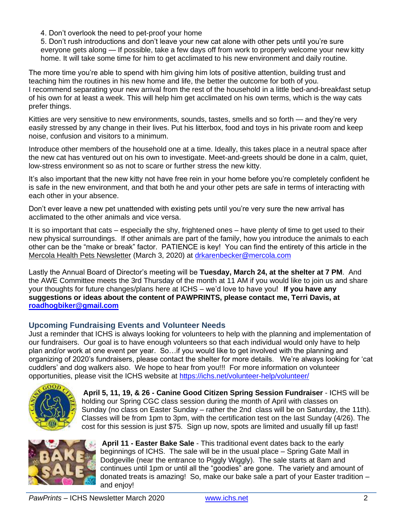4. Don't overlook the need to pet-proof your home

5. Don't rush introductions and don't leave your new cat alone with other pets until you're sure everyone gets along — If possible, take a few days off from work to properly welcome your new kitty home. It will take some time for him to get acclimated to his new environment and daily routine.

The more time you're able to spend with him giving him lots of positive attention, building trust and teaching him the routines in his new home and life, the better the outcome for both of you. I recommend separating your new arrival from the rest of the household in a little bed-and-breakfast setup of his own for at least a week. This will help him get acclimated on his own terms, which is the way cats prefer things.

Kitties are very sensitive to new environments, sounds, tastes, smells and so forth — and they're very easily stressed by any change in their lives. Put his litterbox, food and toys in his private room and keep noise, confusion and visitors to a minimum.

Introduce other members of the household one at a time. Ideally, this takes place in a neutral space after the new cat has ventured out on his own to investigate. Meet-and-greets should be done in a calm, quiet, low-stress environment so as not to scare or further stress the new kitty.

It's also important that the new kitty not have free rein in your home before you're completely confident he is safe in the new environment, and that both he and your other pets are safe in terms of interacting with each other in your absence.

Don't ever leave a new pet unattended with existing pets until you're very sure the new arrival has acclimated to the other animals and vice versa.

It is so important that cats – especially the shy, frightened ones – have plenty of time to get used to their new physical surroundings. If other animals are part of the family, how you introduce the animals to each other can be the "make or break" factor. PATIENCE is key! You can find the entirety of this article in the Mercola Health Pets Newsletter (March 3, 2020) at [drkarenbecker@mercola.com](mailto:drkarenbecker@mercola.com)

Lastly the Annual Board of Director's meeting will be **Tuesday, March 24, at the shelter at 7 PM**. And the AWE Committee meets the 3rd Thursday of the month at 11 AM if you would like to join us and share your thoughts for future changes/plans here at ICHS – we'd love to have you! **If you have any suggestions or ideas about the content of PAWPRINTS, please contact me, Terri Davis, at [roadhogbiker@gmail.com](mailto:roadhogbiker@gmail.com)**

### **Upcoming Fundraising Events and Volunteer Needs**

Just a reminder that ICHS is always looking for volunteers to help with the planning and implementation of our fundraisers. Our goal is to have enough volunteers so that each individual would only have to help plan and/or work at one event per year. So... if you would like to get involved with the planning and organizing of 2020's fundraisers, please contact the shelter for more details. We're always looking for 'cat cuddlers' and dog walkers also. We hope to hear from you!!! For more information on volunteer opportunities, please visit the ICHS website at<https://ichs.net/volunteer-help/volunteer/>



**April 5, 11, 19, & 26 - Canine Good Citizen Spring Session Fundraiser** - ICHS will be holding our Spring CGC class session during the month of April with classes on Sunday (no class on Easter Sunday – rather the 2nd class will be on Saturday, the 11th). Classes will be from 1pm to 3pm, with the certification test on the last Sunday (4/26). The cost for this session is just \$75. Sign up now, spots are limited and usually fill up fast!



**April 11 - Easter Bake Sale** - This traditional event dates back to the early beginnings of ICHS. The sale will be in the usual place – Spring Gate Mall in Dodgeville (near the entrance to Piggly Wiggly). The sale starts at 8am and continues until 1pm or until all the "goodies" are gone. The variety and amount of donated treats is amazing! So, make our bake sale a part of your Easter tradition – and enjoy!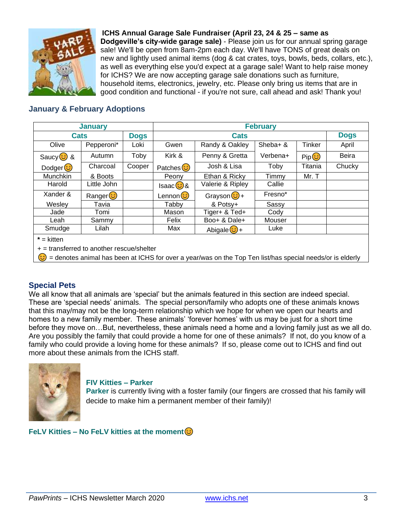

**ICHS Annual Garage Sale Fundraiser (April 23, 24 & 25 – same as Dodgeville's city-wide garage sale)** - Please join us for our annual spring garage sale! We'll be open from 8am-2pm each day. We'll have TONS of great deals on new and lightly used animal items (dog & cat crates, toys, bowls, beds, collars, etc.), as well as everything else you'd expect at a garage sale! Want to help raise money for ICHS? We are now accepting garage sale donations such as furniture, household items, electronics, jewelry, etc. Please only bring us items that are in good condition and functional - if you're not sure, call ahead and ask! Thank you!

#### **January & February Adoptions**

| <b>January</b>  |             |             | <b>February</b>        |                   |          |                                |              |
|-----------------|-------------|-------------|------------------------|-------------------|----------|--------------------------------|--------------|
| Cats            |             | <b>Dogs</b> | <b>Cats</b>            |                   |          |                                | <b>Dogs</b>  |
| Olive           | Pepperoni*  | Loki        | Gwen                   | Randy & Oakley    | Sheba+ & | Tinker                         | April        |
| Saucy $\odot$ & | Autumn      | Toby        | Kirk &                 | Penny & Gretta    | Verbena+ | $\mathsf{Pip}(\mathbf{\odot})$ | <b>Beira</b> |
| Dodger $\odot$  | Charcoal    | Cooper      | Patches <sup>(3)</sup> | Josh & Lisa       | Toby     | Titania                        | Chucky       |
| Munchkin        | & Boots     |             | Peony                  | Ethan & Ricky     | Timmy    | Mr. T                          |              |
| Harold          | Little John |             | Isaac $\odot$ &        | Valerie & Ripley  | Callie   |                                |              |
| Xander &        | Ranger      |             | Lennon (C)             | Grayson $\odot$ + | Fresno*  |                                |              |
| Wesley          | Tavia       |             | Tabby                  | & Potsy+          | Sassy    |                                |              |
| Jade            | Tomi        |             | Mason                  | Tiger+ & Ted+     | Cody     |                                |              |
| Leah            | Sammy       |             | Felix                  | Boo+ & Dale+      | Mouser   |                                |              |
| Smudge          | Lilah       |             | Max                    | Abigale $\odot$ + | Luke     |                                |              |
| $* =$ kitten    |             |             |                        |                   |          |                                |              |

**\*** = kitten

+ = transferred to another rescue/shelter

= denotes animal has been at ICHS for over a year/was on the Top Ten list/has special needs/or is elderly

#### **Special Pets**

We all know that all animals are 'special' but the animals featured in this section are indeed special. These are 'special needs' animals. The special person/family who adopts one of these animals knows that this may/may not be the long-term relationship which we hope for when we open our hearts and homes to a new family member. These animals' 'forever homes' with us may be just for a short time before they move on…But, nevertheless, these animals need a home and a loving family just as we all do. Are you possibly the family that could provide a home for one of these animals? If not, do you know of a family who could provide a loving home for these animals? If so, please come out to ICHS and find out more about these animals from the ICHS staff.



#### **FIV Kitties – Parker**

**Parker** is currently living with a foster family (our fingers are crossed that his family will decide to make him a permanent member of their family)!

**FeLV Kitties – No FeLV kitties at the moment**